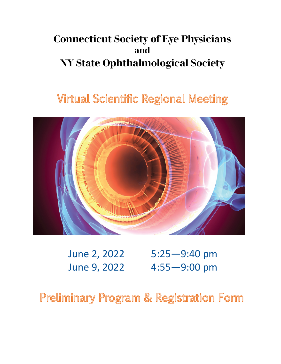# **Connecticut Society of Eye Physicians and NY State Ophthalmological Society**

# **Virtual Scientific Regional Meeting**



June 2, 2022 5:25—9:40 pm June 9, 2022 4:55—9:00 pm

**Preliminary Program & Registration Form**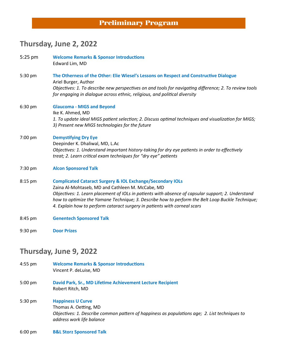### **Preliminary Program**

## **Thursday, June 2, 2022**

| $5:25$ pm | <b>Welcome Remarks &amp; Sponsor Introductions</b><br>Edward Lim, MD                                                                                                                                                                                                                                                                                                                                             |
|-----------|------------------------------------------------------------------------------------------------------------------------------------------------------------------------------------------------------------------------------------------------------------------------------------------------------------------------------------------------------------------------------------------------------------------|
| 5:30 pm   | The Otherness of the Other: Elie Wiesel's Lessons on Respect and Constructive Dialogue<br>Ariel Burger, Author                                                                                                                                                                                                                                                                                                   |
|           | Objectives: 1. To describe new perspectives on and tools for navigating difference; 2. To review tools<br>for engaging in dialogue across ethnic, religious, and political diversity                                                                                                                                                                                                                             |
| 6:30 pm   | <b>Glaucoma - MIGS and Beyond</b><br>Ike K. Ahmed, MD                                                                                                                                                                                                                                                                                                                                                            |
|           | 1. To update ideal MIGS patient selection; 2. Discuss optimal techniques and visualization for MIGS;<br>3) Present new MIGS technologies for the future                                                                                                                                                                                                                                                          |
| 7:00 pm   | <b>Demystifying Dry Eye</b>                                                                                                                                                                                                                                                                                                                                                                                      |
|           | Deepinder K. Dhaliwal, MD, L.Ac<br>Objectives: 1. Understand important history-taking for dry eye patients in order to effectively<br>treat; 2. Learn critical exam techniques for "dry eye" patients                                                                                                                                                                                                            |
| 7:30 pm   | <b>Alcon Sponsored Talk</b>                                                                                                                                                                                                                                                                                                                                                                                      |
| 8:15 pm   | <b>Complicated Cataract Surgery &amp; IOL Exchange/Secondary IOLs</b><br>Zaina Al-Mohtaseb, MD and Cathleen M. McCabe, MD<br>Objectives: 1. Learn placement of IOLs in patients with absence of capsular support; 2. Understand<br>how to optimize the Yamane Technique; 3. Describe how to perform the Belt Loop Buckle Technique;<br>4. Explain how to perform cataract surgery in patients with corneal scars |
| 8:45 pm   | <b>Genentech Sponsored Talk</b>                                                                                                                                                                                                                                                                                                                                                                                  |
| 9:30 pm   | <b>Door Prizes</b>                                                                                                                                                                                                                                                                                                                                                                                               |
|           | Thursday, June 9, 2022                                                                                                                                                                                                                                                                                                                                                                                           |

- 4:55 pm **Welcome Remarks & Sponsor Introductions**  Vincent P. deLuise, MD
- 5:00 pm **David Park, Sr., MD Lifetime Achievement Lecture Recipient** Robert Ritch, MD
- 5:30 pm **Happiness U Curve** Thomas A. Oetting, MD *Objectives: 1. Describe common pattern of happiness as populations age; 2. List techniques to address work life balance*
- 6:00 pm **B&L Storz Sponsored Talk**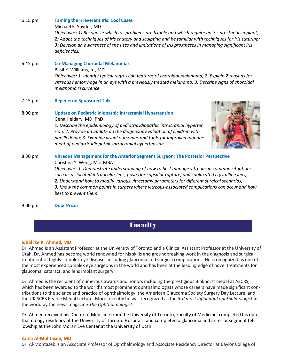Michael E. Snyder, MD *Objectives: 1) Recognize which iris problems are fixable and which require an iris prosthetic implant; 2) Adopt the techniques of iris cautery and sculpting and be familiar with techniques for iris suturing; 3) Develop an awareness of the uses and limitations of iris prostheses in managing significant iris deficiencies.*

- 6:45 pm **Co-Managing Choroidal Melanomas**  Basil K. Williams, Jr., MD *Objectives: 1. Identify typical regression features of choroidal melanoma; 2. Explain 2 reasons for vitreous hemorrhage in an eye with a previously treated melanoma; 3. Describe signs of choroidal melanoma recurrence*
- 7:15 pm **Regeneron Sponsored Talk**

6:15 pm **Taming the Irreverent Iris: Cool Cases** 

8:00 pm **Update on Pediatric Idiopathic Intracranial Hypertension** Gena Heidary, MD, PhD *1. Describe the epidemiology of pediatric idiopathic intracranial hyperten sion; 2. Provide an update on the diagnostic evaluation of children with papilledema; 3. Examine visual outcomes and tools for improved management of pediatric idiopathic intracranial hypertension*



8:30 pm **Vitreous Management for the Anterior Segment Surgeon: The Posterior Perspective**  Christina Y. Weng, MD, MBA *Objectives: 1. Demonstrate understanding of how to best manage vitreous in common situations such as dislocated intraocular lens, posterior capsular rupture, and subluxated crystalline lens; 2. Understand how to modify various vitrectomy parameters for different surgical scenarios; 3. Know the common points in surgery where vitreous-associated complications can occur and how best to prevent them*

9:00 pm **Door Prizes**

### **Faculty**

#### **Iqbal Ike K. Ahmed, MD**

Dr. Ahmed is an Assistant Professor at the University of Toronto and a Clinical Assistant Professor at the University of Utah. Dr. Ahmed has become world renowned for his skills and groundbreaking work in the diagnosis and surgical treatment of highly complex eye diseases including glaucoma and surgical complications. He is recognized as one of the most experienced complex eye surgeons in the world and has been at the leading edge of novel treatments for glaucoma, cataract, and lens implant surgery.

Dr. Ahmed is the recipient of numerous awards and honors including the prestigious Binkhorst medal at ASCRS, which has been awarded to the world's most prominent ophthalmologists whose careers have made significant contributions to the science and practice of ophthalmology, the American Glaucoma Society Surgery Day Lecture, and the UKISCRS Pearce Medal Lecture. More recently he was recognized as the *3rd most influential ophthalmologist* in the world by the news magazine *The Ophthalmologist*.

Dr. Ahmed received his Doctor of Medicine from the University of Toronto, Faculty of Medicine, completed his ophthalmology residency at the University of Toronto Hospitals, and completed a glaucoma and anterior segment fellowship at the John Moran Eye Center at the University of Utah.

#### **Zaina Al-Mohtaseb, MD**

Dr. Al-Mohtaseb is an Associate Professor of Ophthalmology and Associate Residency Director at Baylor College of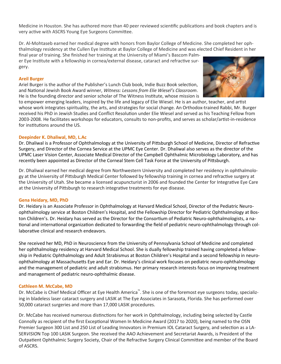Medicine in Houston. She has authored more than 40 peer reviewed scientific publications and book chapters and is very active with ASCRS Young Eye Surgeons Committee.

Dr. Al-Mohtaseb earned her medical degree with honors from Baylor College of Medicine. She completed her ophthalmology residency at the Cullen Eye Institute at Baylor College of Medicine and was elected Chief Resident in her

final year of training. She finished her training at the University of Miami's Bascom Palmer Eye Institute with a fellowship in cornea/external disease, cataract and refractive surgery.

#### **Areil Burger**

Ariel Burger is the author of the Publisher's Lunch Club book, Indie Buzz Book selection, and National Jewish Book Award winner, *Witness: Lessons from Elie Wiesel's Classroom*. He is the founding director and senior scholar of The Witness Institute, whose mission is



to empower emerging leaders, inspired by the life and legacy of Elie Wiesel. He is an author, teacher, and artist whose work integrates spirituality, the arts, and strategies for social change. An Orthodox-trained Rabbi, Mr. Burger received his PhD in Jewish Studies and Conflict Resolution under Elie Wiesel and served as his Teaching Fellow from 2003-2008. He facilitates workshops for educators, consults to non-profits, and serves as scholar/artist-in-residence for institutions around the US.

#### **Deepinder K. Dhaliwal, MD, L.Ac**

Dr. Dhaliwal is a Professor of Ophthalmology at the University of Pittsburgh School of Medicine, Director of Refractive Surgery, and Director of the Cornea Service at the UPMC Eye Center. Dr. Dhaliwal also serves as the director of the UPMC Laser Vision Center, Associate Medical Director of the Campbell Ophthalmic Microbiology Laboratory, and has recently been appointed as Director of the Corneal Stem Cell Task Force at the University of Pittsburgh.

Dr. Dhaliwal earned her medical degree from Northwestern University and completed her residency in ophthalmology at the University of Pittsburgh Medical Center followed by fellowship training in cornea and refractive surgery at the University of Utah. She became a licensed acupuncturist in 2006 and founded the Center for Integrative Eye Care at the University of Pittsburgh to research integrative treatments for eye disease.

#### **Gena Heidary, MD, PhD**

Dr. Heidary is an Associate Professor in Ophthalmology at Harvard Medical School, Director of the Pediatric Neuroophthalmology service at Boston Children's Hospital, and the Fellowship Director for Pediatric Ophthalmology at Boston Children's. Dr. Heidary has served as the Director for the Consortium of Pediatric Neuro-ophthalmologists, a national and international organization dedicated to forwarding the field of pediatric neuro-ophthalmology through collaborative clinical and research endeavors.

She received her MD, PhD in Neuroscience from the University of Pennsylvania School of Medicine and completed her ophthalmology residency at Harvard Medical School. She is dually fellowship trained having completed a fellowship in Pediatric Ophthalmology and Adult Strabismus at Boston Children's Hospital and a second fellowship in neuroophthalmology at Massachusetts Eye and Ear. Dr. Heidary's clinical work focuses on pediatric neuro-ophthalmology and the management of pediatric and adult strabismus. Her primary research interests focus on improving treatment and management of pediatric neuro-ophthalmic disease.

#### **Cathleen M. McCabe, MD**

Dr. McCabe is Chief Medical Officer at Eye Health America™. She is one of the foremost eye surgeons today, specializing in bladeless laser cataract surgery and LASIK at The Eye Associates in Sarasota, Florida. She has performed over 50,000 cataract surgeries and more than 17,000 LASIK procedures.

Dr. McCabe has received numerous distinctions for her work in Ophthalmology, including being selected by Castle Connolly as recipient of the first Exceptional Women In Medicine Award (2017 to 2020), being named to the OSN Premier Surgeon 300 List and 250 List of Leading Innovators in Premium IOL Cataract Surgery, and selection as a LA-SER*VISIO*N Top 100 LASIK Surgeon. She received the AAO Achievement and Secretariat Awards, is President of the Outpatient Ophthalmic Surgery Society, Chair of the Refractive Surgery Clinical Committee and member of the Board of ASCRS.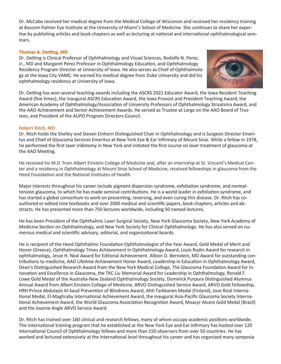Dr. McCabe received her medical degree from the Medical College of Wisconsin and received her residency training at Bascom Palmer Eye Institute at the University of Miami's School of Medicine. She continues to share her expertise by publishing articles and book chapters as well as lecturing at national and international ophthalmological seminars.

#### **Thomas A. Oetting, MD**

Dr. Oetting is Clinical Professor of Ophthalmology and Visual Sciences, Rodolfo N. Perez, Jr., MD and Margaret Perez Professor in Ophthalmology Education, and Ophthalmology Residency Program Director at University of Iowa. He also serves as Chief of Ophthalmology at the Iowa City VAMC. He earned his medical degree from Duke University and did his ophthalmology residency at University of Iowa.



Dr. Oetting has won several teaching awards including the ASCRS 2021 Educator Award, the Iowa Resident Teaching Award (five times), the inaugural ASCRS Education Award, the Iowa Provost and President Teaching Award, the American Academy of Ophthalmology/Association of University Professors of Ophthalmology Straatsma Award, and the AAO Achievement and Senior Achievement Awards. He served as Trustee at Large on the AAO Board of Trustees, and President of the AUPO Program Directors Council.

#### **Robert Ritch, MD**

Dr. Ritch holds the Shelley and Steven Einhorn Distinguished Chair in Ophthalmology and is Surgeon Director Emeritus and Chief of Glaucoma Services Emeritus at New York Eye & Ear Infirmary of Mount Sinai. While a fellow in 1978, he performed the first laser iridotomy in New York and initiated the first course on laser treatment of glaucoma at the AAO Meeting.

He received his M.D. from Albert Einstein College of Medicine and, after an internship at St. Vincent's Medical Center and a residency in Ophthalmology at Mount Sinai School of Medicine, received fellowships in glaucoma from the Heed Foundation and the National Institutes of Health.

Major interests throughout his career include pigment dispersion syndrome, exfoliation syndrome, and normaltension glaucoma, to which he has made seminal contributions. He is a world leader in exfoliation syndrome, and has started a global consortium to work on preventing, reversing, and even curing this disease. Dr. Ritch has coauthored or edited nine textbooks and over 2000 medical and scientific papers, book chapters, articles and abstracts. He has presented more than 750 lectures worldwide, including 50 named lectures.

He has been President of the Ophthalmic Laser Surgical Society, New York Glaucoma Society, New York Academy of Medicine Section on Ophthalmology, and New York Society for Clinical Ophthalmology. He has also served on numerous medical and scientific advisory, editorial, and organizational boards.

He is recipient of the Heed Ophthalmic Foundation Ophthalmologist of the Year Award, Gold Medal of Merit and Honor (Greece), Ophthalmology Times Achievement in Ophthalmology Award, Louis Rudin Award for research in ophthalmology, Jesse H. Neal Award for Editorial Achievement. Albion O. Bernstein, MD Award for outstanding contributions to medicine, AAO Lifetime Achievement Honor Award, Leadership in Education in Ophthalmology Award, Dean's Distinguished Research Award from the New York Medical College, The Glaucoma Foundation Award for Innovation and Excellence in Glaucoma, the TKC Liu Memorial Award for Leadership in Ophthalmology, Ronald F. Lowe Gold Medal of the Australia-New Zealand Ophthalmology Society, Dominick Purpura Distinguished Alumnus Annual Award from Albert Einstein College of Medicine, ARVO Distinguished Service Award, ARVO Gold Fellowship, HRH Prince Abdulaziz Al-Saud Prevention of Blindness Award, Ahti Tarkkanen Medal (Finland), Jose Rizal International Medal, El-Maghraby International Achievement Award, the inaugural Asia-Pacific Glaucoma Society International Achievement Award, the World Glaucoma Association Recognition Award, Moacyr Alvaro Gold Medal (Brazil) and the Joanne Angle ARVO Service Award.

Dr. Ritch has trained over 160 clinical and research fellows, many of whom occupy academic positions worldwide. The international training program that he established at the New York Eye and Ear Infirmary has hosted over 120 International Council of Ophthalmology fellows and more than 150 observers from over 50 countries. He has worked and lectured extensively at the international level throughout his career and has organized many symposia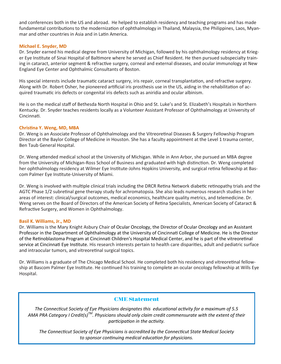and conferences both in the US and abroad. He helped to establish residency and teaching programs and has made fundamental contributions to the modernization of ophthalmology in Thailand, Malaysia, the Philippines, Laos, Myanmar and other countries in Asia and in Latin America.

#### **Michael E. Snyder, MD**

Dr. Snyder earned his medical degree from University of Michigan, followed by his ophthalmology residency at Krieger Eye Institute of Sinai Hospital of Baltimore where he served as Chief Resident. He then pursued subspecialty training in cataract, anterior segment & refractive surgery, corneal and external diseases, and ocular immunology at New England Eye Center and Ophthalmic Consultants of Boston.

His special interests include traumatic cataract surgery, iris repair, corneal transplantation, and refractive surgery. Along with Dr. Robert Osher, he pioneered artificial iris prosthesis use in the US, aiding in the rehabilitation of acquired traumatic iris defects or congenital iris defects such as aniridia and ocular albinism.

He is on the medical staff of Bethesda North Hospital in Ohio and St. Luke's and St. Elizabeth's Hospitals in Northern Kentucky. Dr. Snyder teaches residents locally as a Volunteer Assistant Professor of Ophthalmology at University of Cincinnati.

#### **Christina Y. Weng, MD, MBA**

Dr. Weng is an Associate Professor of Ophthalmology and the Vitreoretinal Diseases & Surgery Fellowship Program Director at the Baylor College of Medicine in Houston. She has a faculty appointment at the Level 1 trauma center, Ben Taub General Hospital.

Dr. Weng attended medical school at the University of Michigan. While in Ann Arbor, she pursued an MBA degree from the University of Michigan-Ross School of Business and graduated with high distinction. Dr. Weng completed her ophthalmology residency at Wilmer Eye Institute-Johns Hopkins University, and surgical retina fellowship at Bascom Palmer Eye Institute-University of Miami.

Dr. Weng is involved with multiple clinical trials including the DRCR Retina Network diabetic retinopathy trials and the AGTC Phase 1/2 subretinal gene therapy study for achromatopsia. She also leads numerous research studies in her areas of interest: clinical/surgical outcomes, medical economics, healthcare quality metrics, and telemedicine. Dr. Weng serves on the Board of Directors of the American Society of Retina Specialists, American Society of Cataract & Refractive Surgery, and Women in Ophthalmology.

#### **Basil K. Williams, Jr., MD**

Dr. Williams is the Mary Knight Asbury Chair of Ocular Oncology, the Director of Ocular Oncology and an Assistant Professor in the Department of Ophthalmology at the University of Cincinnati College of Medicine. He is the Director of the Retinoblastoma Program at Cincinnati Children's Hospital Medical Center, and he is part of the vitreoretinal service at Cincinnati Eye Institute. His research interests pertain to health care disparities, adult and pediatric surface and intraocular tumors, and vitreoretinal surgical topics.

Dr. Williams is a graduate of The Chicago Medical School. He completed both his residency and vitreoretinal fellowship at Bascom Palmer Eye Institute. He continued his training to complete an ocular oncology fellowship at Wills Eye Hospital.

#### **CME Statement**

*The Connecticut Society of Eye Physicians designates this educational activity for a maximum of 5.5 AMA PRA Category I Credit(s)TM. Physicians should only claim credit commensurate with the extent of their participation in the activity.* 

*The Connecticut Society of Eye Physicians is accredited by the Connecticut State Medical Society to sponsor continuing medical education for physicians.*